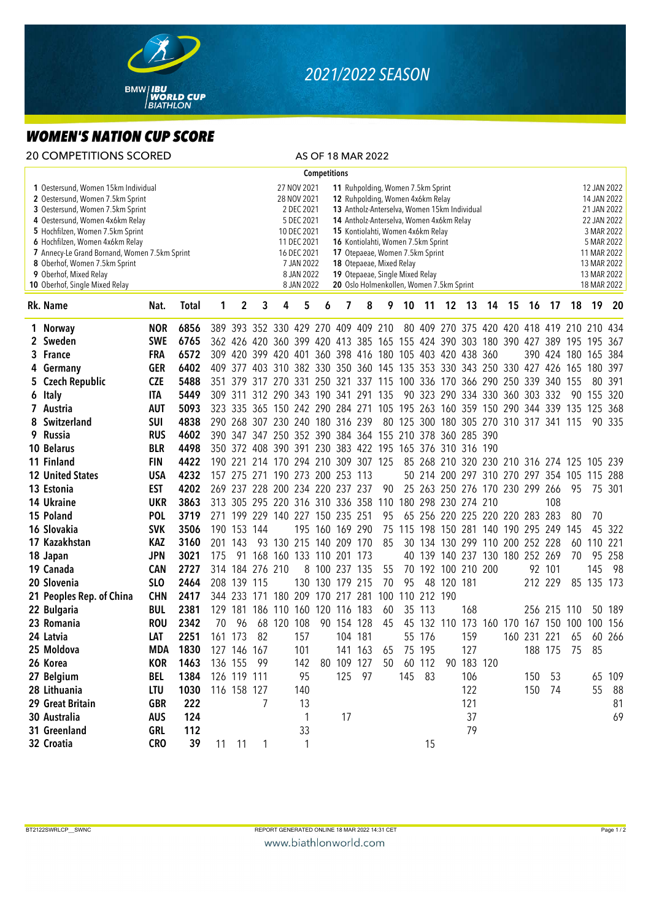

## *2021/2022 SEASON*

## *WOMEN'S NATION CUP SCORE*

| <b>20 COMPETITIONS SCORED</b>                                                                                                                                                                                                                                                                                                                                       |                           |                          |              |                                                                                                                                                                                                                                                                                                                                                                                                                                                                                                                                             |                  |                 |                                                                                 |     |                     |                     | AS OF 18 MAR 2022   |           |                                        |             |                                  |            |  |                                            |         |                                                                                                                                                  |     |            |        |
|---------------------------------------------------------------------------------------------------------------------------------------------------------------------------------------------------------------------------------------------------------------------------------------------------------------------------------------------------------------------|---------------------------|--------------------------|--------------|---------------------------------------------------------------------------------------------------------------------------------------------------------------------------------------------------------------------------------------------------------------------------------------------------------------------------------------------------------------------------------------------------------------------------------------------------------------------------------------------------------------------------------------------|------------------|-----------------|---------------------------------------------------------------------------------|-----|---------------------|---------------------|---------------------|-----------|----------------------------------------|-------------|----------------------------------|------------|--|--------------------------------------------|---------|--------------------------------------------------------------------------------------------------------------------------------------------------|-----|------------|--------|
|                                                                                                                                                                                                                                                                                                                                                                     |                           |                          |              |                                                                                                                                                                                                                                                                                                                                                                                                                                                                                                                                             |                  |                 |                                                                                 |     | <b>Competitions</b> |                     |                     |           |                                        |             |                                  |            |  |                                            |         |                                                                                                                                                  |     |            |        |
| 1 Oestersund, Women 15km Individual<br>2 Oestersund, Women 7.5km Sprint<br>3 Oestersund, Women 7.5km Sprint<br>4 Oestersund, Women 4x6km Relay<br>5 Hochfilzen, Women 7.5km Sprint<br>6 Hochfilzen, Women 4x6km Relay<br>7 Annecy-Le Grand Bornand, Women 7.5km Sprint<br>8 Oberhof, Women 7.5km Sprint<br>9 Oberhof, Mixed Relay<br>10 Oberhof, Single Mixed Relay |                           |                          |              | 11 Ruhpolding, Women 7.5km Sprint<br>27 NOV 2021<br>28 NOV 2021<br>12 Ruhpolding, Women 4x6km Relay<br>2 DEC 2021<br>13 Antholz-Anterselva, Women 15km Individual<br>5 DEC 2021<br>14 Antholz-Anterselva, Women 4x6km Relay<br>10 DEC 2021<br>15 Kontiolahti, Women 4x6km Relay<br>11 DEC 2021<br>16 Kontiolahti, Women 7.5km Sprint<br>16 DEC 2021<br>17 Otepaeae, Women 7.5km Sprint<br>7 JAN 2022<br>18 Otepaeae, Mixed Relay<br>8 JAN 2022<br>19 Otepaeae, Single Mixed Relay<br>20 Oslo Holmenkollen, Women 7.5km Sprint<br>8 JAN 2022 |                  |                 |                                                                                 |     |                     |                     |                     |           |                                        |             |                                  |            |  |                                            |         | 12 JAN 2022<br>14 JAN 2022<br>21 JAN 2022<br>22 JAN 2022<br>3 MAR 2022<br>5 MAR 2022<br>11 MAR 2022<br>13 MAR 2022<br>13 MAR 2022<br>18 MAR 2022 |     |            |        |
|                                                                                                                                                                                                                                                                                                                                                                     | Rk. Name                  | Nat.                     | <b>Total</b> | 1                                                                                                                                                                                                                                                                                                                                                                                                                                                                                                                                           | $\boldsymbol{2}$ | 3               | 4                                                                               | 5   | 6                   | 7                   | 8                   | 9         | 10                                     | 11          |                                  | 12 13      |  | 14 15                                      | 16      | -17                                                                                                                                              | 18  | 19 20      |        |
|                                                                                                                                                                                                                                                                                                                                                                     | 1 Norway                  | <b>NOR</b>               | 6856         |                                                                                                                                                                                                                                                                                                                                                                                                                                                                                                                                             |                  |                 | 389 393 352 330 429 270 409 409 210                                             |     |                     |                     |                     |           |                                        |             |                                  |            |  | 80 409 270 375 420 420 418 419 210 210 434 |         |                                                                                                                                                  |     |            |        |
|                                                                                                                                                                                                                                                                                                                                                                     | 2 Sweden                  | <b>SWE</b>               | 6765         |                                                                                                                                                                                                                                                                                                                                                                                                                                                                                                                                             |                  |                 | 362 426 420 360 399 420 413 385 165 155 424 390 303 180 390 427 389 195         |     |                     |                     |                     |           |                                        |             |                                  |            |  |                                            |         |                                                                                                                                                  |     | 195 367    |        |
|                                                                                                                                                                                                                                                                                                                                                                     | 3 France                  | <b>FRA</b>               | 6572         |                                                                                                                                                                                                                                                                                                                                                                                                                                                                                                                                             |                  |                 | 309 420 399 420 401 360 398 416 180 105 403 420 438 360                         |     |                     |                     |                     |           |                                        |             |                                  |            |  |                                            |         | 390 424 180 165 384                                                                                                                              |     |            |        |
|                                                                                                                                                                                                                                                                                                                                                                     | 4 Germany                 | <b>GER</b>               | 6402         |                                                                                                                                                                                                                                                                                                                                                                                                                                                                                                                                             |                  |                 | 409 377 403 310 382 330 350 360 145 135 353 330 343 250 330 427 426 165 180     |     |                     |                     |                     |           |                                        |             |                                  |            |  |                                            |         |                                                                                                                                                  |     |            | 397    |
|                                                                                                                                                                                                                                                                                                                                                                     | 5 Czech Republic          | <b>CZE</b>               | 5488         |                                                                                                                                                                                                                                                                                                                                                                                                                                                                                                                                             |                  |                 | 351 379 317 270 331 250 321 337 115 100 336 170 366 290 250 339 340 155         |     |                     |                     |                     |           |                                        |             |                                  |            |  |                                            |         |                                                                                                                                                  |     | 80         | 391    |
|                                                                                                                                                                                                                                                                                                                                                                     | 6 Italy                   | <b>ITA</b>               | 5449         |                                                                                                                                                                                                                                                                                                                                                                                                                                                                                                                                             | 309 311          |                 | 312 290 343 190 341 291 135                                                     |     |                     |                     |                     |           |                                        |             |                                  |            |  | 90 323 290 334 330 360 303 332             |         |                                                                                                                                                  |     | 90 155 320 |        |
|                                                                                                                                                                                                                                                                                                                                                                     | 7 Austria                 | <b>AUT</b>               | 5093         |                                                                                                                                                                                                                                                                                                                                                                                                                                                                                                                                             |                  |                 | 323 335 365 150 242 290 284 271 105 195 263 160 359 150 290 344 339 135 125 368 |     |                     |                     |                     |           |                                        |             |                                  |            |  |                                            |         |                                                                                                                                                  |     |            |        |
|                                                                                                                                                                                                                                                                                                                                                                     | 8 Switzerland             | <b>SUI</b>               | 4838         |                                                                                                                                                                                                                                                                                                                                                                                                                                                                                                                                             |                  |                 | 290 268 307 230 240 180 316 239                                                 |     |                     |                     |                     |           | 80 125 300 180 305 270 310 317 341 115 |             |                                  |            |  |                                            |         |                                                                                                                                                  |     |            | 90 335 |
|                                                                                                                                                                                                                                                                                                                                                                     | 9 Russia                  | <b>RUS</b>               | 4602         |                                                                                                                                                                                                                                                                                                                                                                                                                                                                                                                                             |                  |                 | 390 347 347 250 352 390 384 364 155 210 378 360 285 390                         |     |                     |                     |                     |           |                                        |             |                                  |            |  |                                            |         |                                                                                                                                                  |     |            |        |
|                                                                                                                                                                                                                                                                                                                                                                     | 10 Belarus                | <b>BLR</b>               | 4498         |                                                                                                                                                                                                                                                                                                                                                                                                                                                                                                                                             |                  |                 | 350 372 408 390 391 230 383 422 195 165 376 310 316 190                         |     |                     |                     |                     |           |                                        |             |                                  |            |  |                                            |         |                                                                                                                                                  |     |            |        |
|                                                                                                                                                                                                                                                                                                                                                                     | 11 Finland                | <b>FIN</b>               | 4422         |                                                                                                                                                                                                                                                                                                                                                                                                                                                                                                                                             | 190 221          |                 | 214 170 294 210 309 307 125                                                     |     |                     |                     |                     |           |                                        |             |                                  |            |  | 85 268 210 320 230 210 316 274 125 105 239 |         |                                                                                                                                                  |     |            |        |
|                                                                                                                                                                                                                                                                                                                                                                     | <b>12 United States</b>   | <b>USA</b>               | 4232         |                                                                                                                                                                                                                                                                                                                                                                                                                                                                                                                                             | 157 275          | 271             |                                                                                 |     |                     | 190 273 200 253 113 |                     |           |                                        |             |                                  |            |  | 50 214 200 297 310 270 297 354 105         |         |                                                                                                                                                  |     | 115        | 288    |
|                                                                                                                                                                                                                                                                                                                                                                     | 13 Estonia                | <b>EST</b>               | 4202         |                                                                                                                                                                                                                                                                                                                                                                                                                                                                                                                                             |                  | 269 237 228     |                                                                                 |     |                     | 200 234 220 237 237 |                     | 90        |                                        |             | 25 263 250 276                   |            |  | 170 230 299 266                            |         |                                                                                                                                                  | 95  |            | 75 301 |
|                                                                                                                                                                                                                                                                                                                                                                     | 14 Ukraine                | <b>UKR</b>               | 3863         |                                                                                                                                                                                                                                                                                                                                                                                                                                                                                                                                             |                  |                 | 313 305 295 220 316 310 336 358                                                 |     |                     |                     |                     | 110       |                                        |             | 180 298 230 274 210              |            |  |                                            |         | 108                                                                                                                                              |     |            |        |
|                                                                                                                                                                                                                                                                                                                                                                     | 15 Poland                 | POL                      | 3719         |                                                                                                                                                                                                                                                                                                                                                                                                                                                                                                                                             |                  |                 | 271 199 229 140 227 150 235 251                                                 |     |                     |                     |                     | 95        |                                        |             |                                  |            |  | 65 256 220 225 220 220                     | 283 283 |                                                                                                                                                  | 80  | 70         |        |
|                                                                                                                                                                                                                                                                                                                                                                     | 16 Slovakia               | <b>SVK</b>               | 3506         |                                                                                                                                                                                                                                                                                                                                                                                                                                                                                                                                             | 190 153 144      |                 |                                                                                 |     |                     | 195 160 169 290     |                     |           | 75 115 198 150 281 140 190 295 249     |             |                                  |            |  |                                            |         |                                                                                                                                                  | 145 |            | 45 322 |
|                                                                                                                                                                                                                                                                                                                                                                     | 17 Kazakhstan             | <b>KAZ</b>               | 3160         |                                                                                                                                                                                                                                                                                                                                                                                                                                                                                                                                             | 201 143          |                 | 93 130 215 140 209 170                                                          |     |                     |                     |                     | 85        |                                        |             |                                  |            |  | 30 134 130 299 110 200 252 228             |         |                                                                                                                                                  | 60  | 110        | 221    |
|                                                                                                                                                                                                                                                                                                                                                                     | 18 Japan                  | <b>JPN</b>               | 3021         | 175                                                                                                                                                                                                                                                                                                                                                                                                                                                                                                                                         | 91               |                 | 168 160 133 110 201 173                                                         |     |                     |                     |                     |           |                                        |             |                                  |            |  | 40 139 140 237 130 180 252 269             |         |                                                                                                                                                  | 70  |            | 95 258 |
|                                                                                                                                                                                                                                                                                                                                                                     | 19 Canada<br>20 Slovenia  | <b>CAN</b>               | 2727         |                                                                                                                                                                                                                                                                                                                                                                                                                                                                                                                                             |                  | 314 184 276 210 |                                                                                 |     |                     | 8 100 237 135       |                     | 55        |                                        |             | 70 192 100 210 200<br>48 120 181 |            |  |                                            |         | 92 101                                                                                                                                           |     | 145        | 98     |
|                                                                                                                                                                                                                                                                                                                                                                     |                           | <b>SLO</b><br><b>CHN</b> | 2464<br>2417 |                                                                                                                                                                                                                                                                                                                                                                                                                                                                                                                                             | 208 139 115      | 344 233 171     |                                                                                 |     |                     | 130 130 179 215     | 180 209 170 217 281 | 70<br>100 | 95                                     | 110 212 190 |                                  |            |  |                                            |         | 212 229                                                                                                                                          |     | 85 135 173 |        |
|                                                                                                                                                                                                                                                                                                                                                                     | 21 Peoples Rep. of China  | <b>BUL</b>               | 2381         |                                                                                                                                                                                                                                                                                                                                                                                                                                                                                                                                             | 129 181          |                 | 186 110                                                                         |     |                     | 160 120 116 183     |                     |           | 35                                     | 113         |                                  | 168        |  |                                            |         |                                                                                                                                                  |     |            | 50 189 |
|                                                                                                                                                                                                                                                                                                                                                                     | 22 Bulgaria<br>23 Romania | <b>ROU</b>               | 2342         | 70                                                                                                                                                                                                                                                                                                                                                                                                                                                                                                                                          | 96               |                 | 68 120                                                                          | 108 |                     | 90 154 128          |                     | 60<br>45  |                                        |             |                                  |            |  | 45 132 110 173 160 170 167 150 100 100 156 |         | 256 215 110                                                                                                                                      |     |            |        |
|                                                                                                                                                                                                                                                                                                                                                                     | 24 Latvia                 | LAT                      | 2251         |                                                                                                                                                                                                                                                                                                                                                                                                                                                                                                                                             | 161 173 82       |                 |                                                                                 | 157 |                     |                     | 104 181             |           |                                        | 55 176      |                                  | 159        |  |                                            |         | 160 231 221 65 60 266                                                                                                                            |     |            |        |
|                                                                                                                                                                                                                                                                                                                                                                     | 25 Moldova                | MDA                      | 1830         |                                                                                                                                                                                                                                                                                                                                                                                                                                                                                                                                             | 127 146 167      |                 |                                                                                 | 101 |                     |                     | 141 163             | 65        |                                        | 75 195      |                                  | 127        |  |                                            |         | 188 175 75                                                                                                                                       |     | 85         |        |
|                                                                                                                                                                                                                                                                                                                                                                     | 26 Korea                  | <b>KOR</b>               | 1463         |                                                                                                                                                                                                                                                                                                                                                                                                                                                                                                                                             | 136 155          | - 99            |                                                                                 | 142 |                     | 80 109 127          |                     | 50        |                                        | 60 112      |                                  | 90 183 120 |  |                                            |         |                                                                                                                                                  |     |            |        |
|                                                                                                                                                                                                                                                                                                                                                                     | 27 Belgium                | BEL                      | 1384         |                                                                                                                                                                                                                                                                                                                                                                                                                                                                                                                                             | 126 119 111      |                 |                                                                                 | 95  |                     |                     | 125 97              |           |                                        | 145 83      |                                  | 106        |  |                                            | 150     | - 53                                                                                                                                             |     |            | 65 109 |
|                                                                                                                                                                                                                                                                                                                                                                     | 28 Lithuania              | ltu                      | 1030         |                                                                                                                                                                                                                                                                                                                                                                                                                                                                                                                                             | 116 158 127      |                 |                                                                                 | 140 |                     |                     |                     |           |                                        |             |                                  | 122        |  |                                            | 150     | 74                                                                                                                                               |     |            | 55 88  |
|                                                                                                                                                                                                                                                                                                                                                                     | 29 Great Britain          | GBR                      | 222          |                                                                                                                                                                                                                                                                                                                                                                                                                                                                                                                                             |                  | 7               |                                                                                 | 13  |                     |                     |                     |           |                                        |             |                                  | 121        |  |                                            |         |                                                                                                                                                  |     |            | 81     |
|                                                                                                                                                                                                                                                                                                                                                                     | 30 Australia              | <b>AUS</b>               | 124          |                                                                                                                                                                                                                                                                                                                                                                                                                                                                                                                                             |                  |                 |                                                                                 | 1   |                     | 17                  |                     |           |                                        |             |                                  | 37         |  |                                            |         |                                                                                                                                                  |     |            | 69     |
|                                                                                                                                                                                                                                                                                                                                                                     | 31 Greenland              | GRL                      | 112          |                                                                                                                                                                                                                                                                                                                                                                                                                                                                                                                                             |                  |                 |                                                                                 | 33  |                     |                     |                     |           |                                        |             |                                  | 79         |  |                                            |         |                                                                                                                                                  |     |            |        |
|                                                                                                                                                                                                                                                                                                                                                                     | 32 Croatia                | <b>CRO</b>               | 39           |                                                                                                                                                                                                                                                                                                                                                                                                                                                                                                                                             | $11 \quad 11$    |                 |                                                                                 | 1   |                     |                     |                     |           |                                        | 15          |                                  |            |  |                                            |         |                                                                                                                                                  |     |            |        |